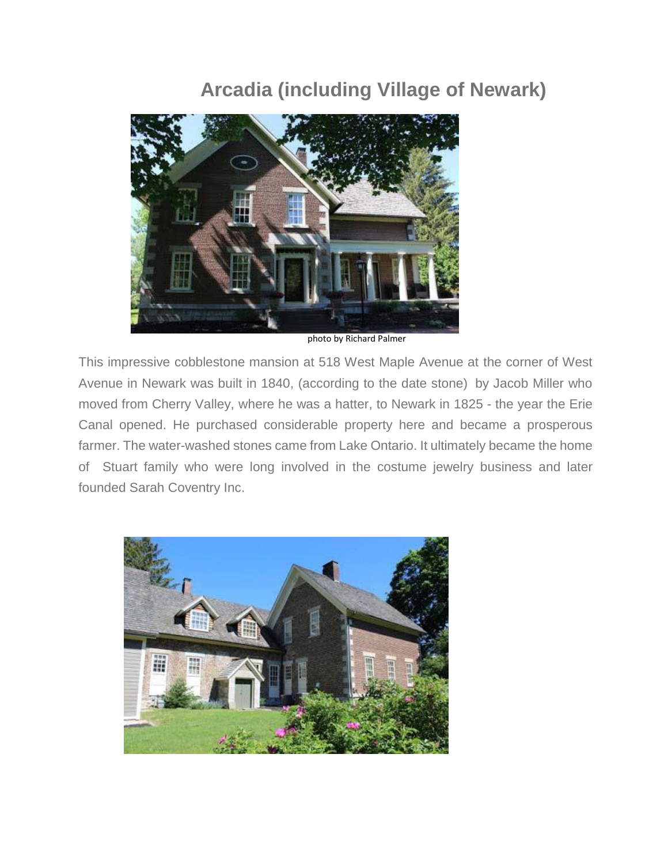## **Arcadia (including Village of Newark)**



photo by Richard Palmer

This impressive cobblestone mansion at 518 West Maple Avenue at the corner of West Avenue in Newark was built in 1840, (according to the date stone) by Jacob Miller who moved from Cherry Valley, where he was a hatter, to Newark in 1825 - the year the Erie Canal opened. He purchased considerable property here and became a prosperous farmer. The water-washed stones came from Lake Ontario. It ultimately became the home of Stuart family who were long involved in the costume jewelry business and later founded Sarah Coventry Inc.

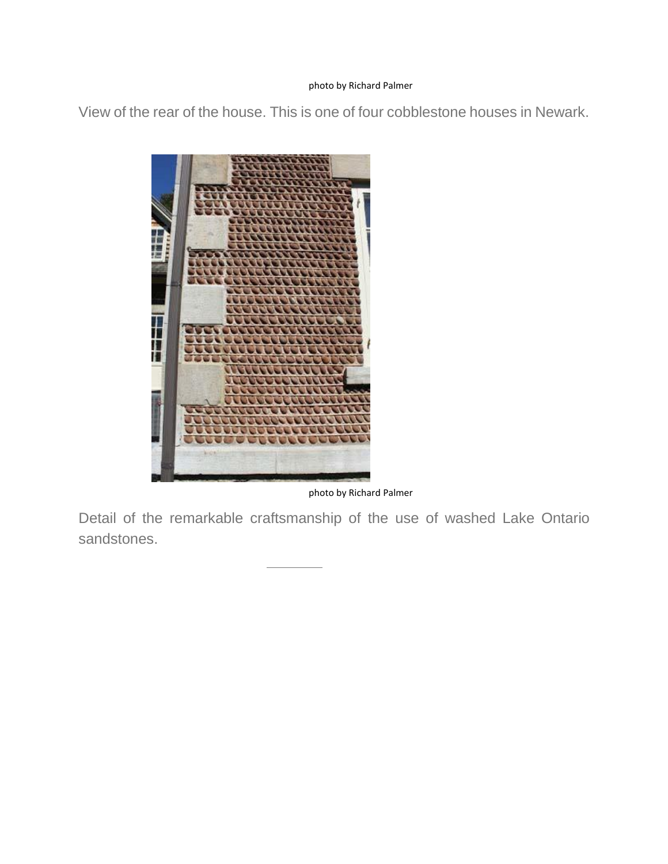## photo by Richard Palmer

View of the rear of the house. This is one of four cobblestone houses in Newark.



photo by Richard Palmer

Detail of the remarkable craftsmanship of the use of washed Lake Ontario sandstones.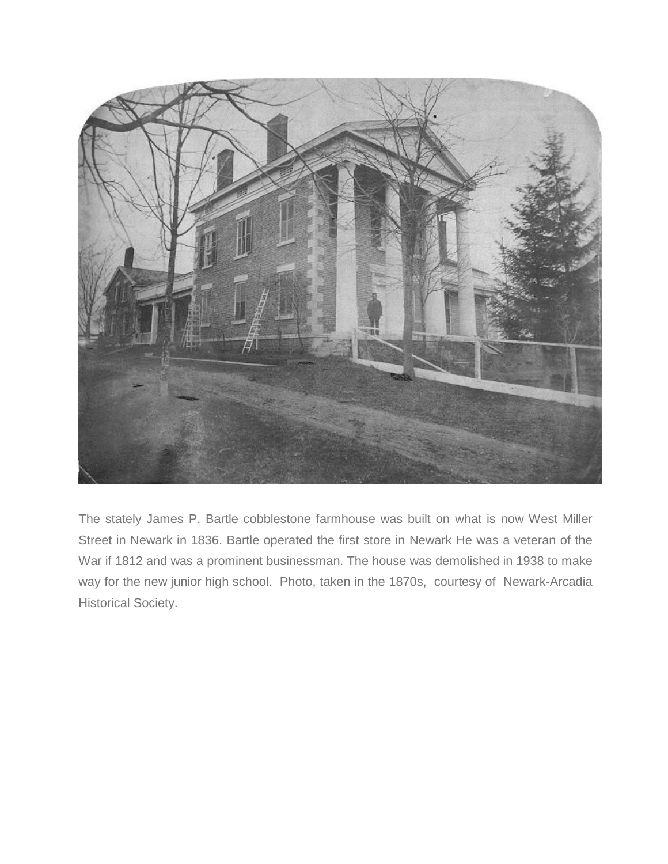

The stately James P. Bartle cobblestone farmhouse was built on what is now West Miller Street in Newark in 1836. Bartle operated the first store in Newark He was a veteran of the War if 1812 and was a prominent businessman. The house was demolished in 1938 to make way for the new junior high school. Photo, taken in the 1870s, courtesy of Newark-Arcadia Historical Society.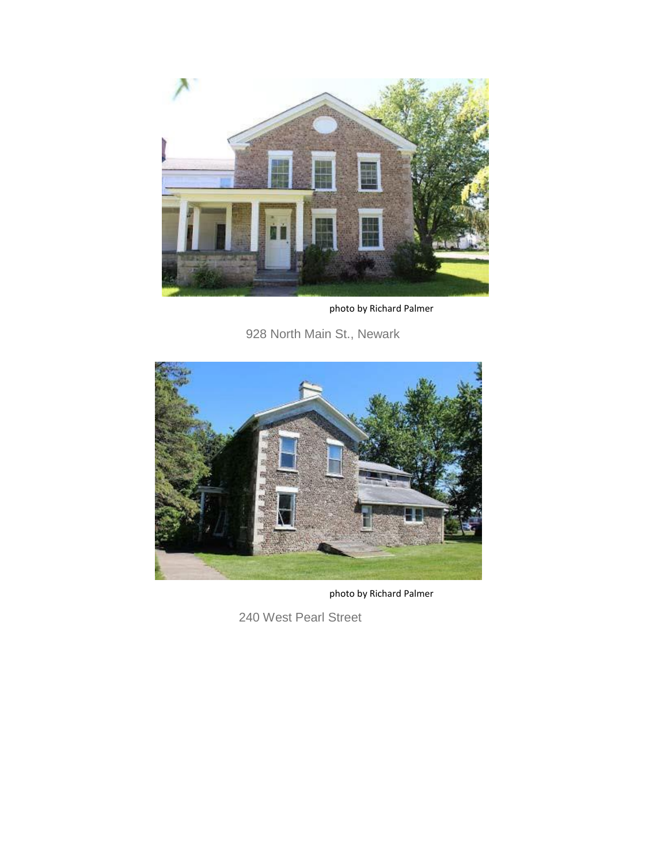

photo by Richard Palmer

928 North Main St., Newark



photo by Richard Palmer

240 West Pearl Street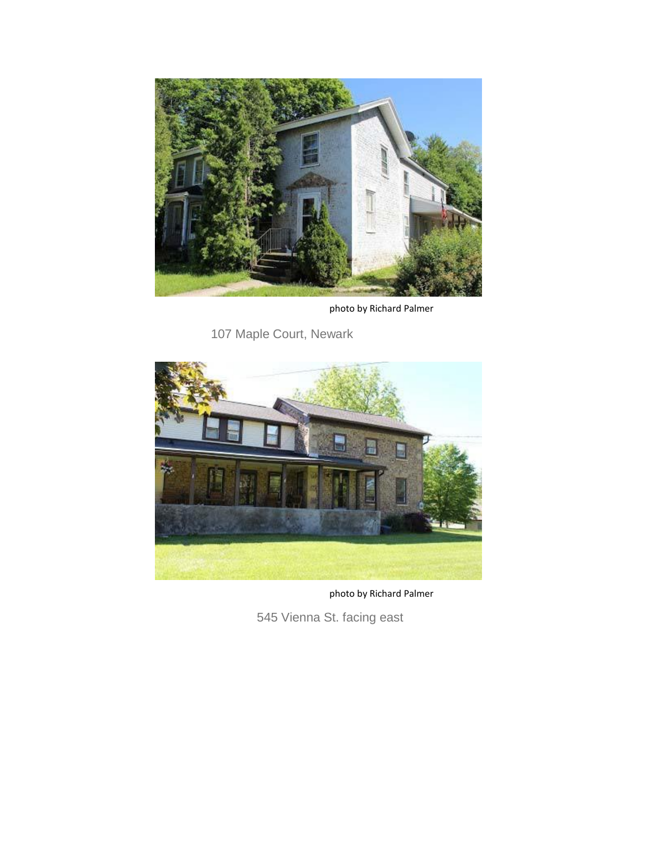

photo by Richard Palmer

107 Maple Court, Newark



photo by Richard Palmer

545 Vienna St. facing east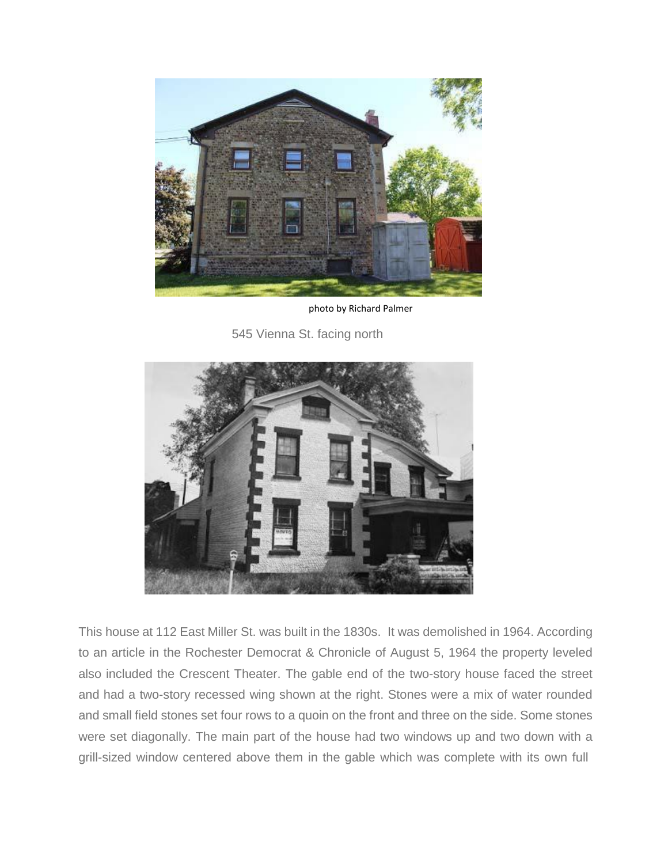

photo by Richard Palmer

545 Vienna St. facing north



This house at 112 East Miller St. was built in the 1830s. It was demolished in 1964. According to an article in the Rochester Democrat & Chronicle of August 5, 1964 the property leveled also included the Crescent Theater. The gable end of the two-story house faced the street and had a two-story recessed wing shown at the right. Stones were a mix of water rounded and small field stones set four rows to a quoin on the front and three on the side. Some stones were set diagonally. The main part of the house had two windows up and two down with a grill-sized window centered above them in the gable which was complete with its own full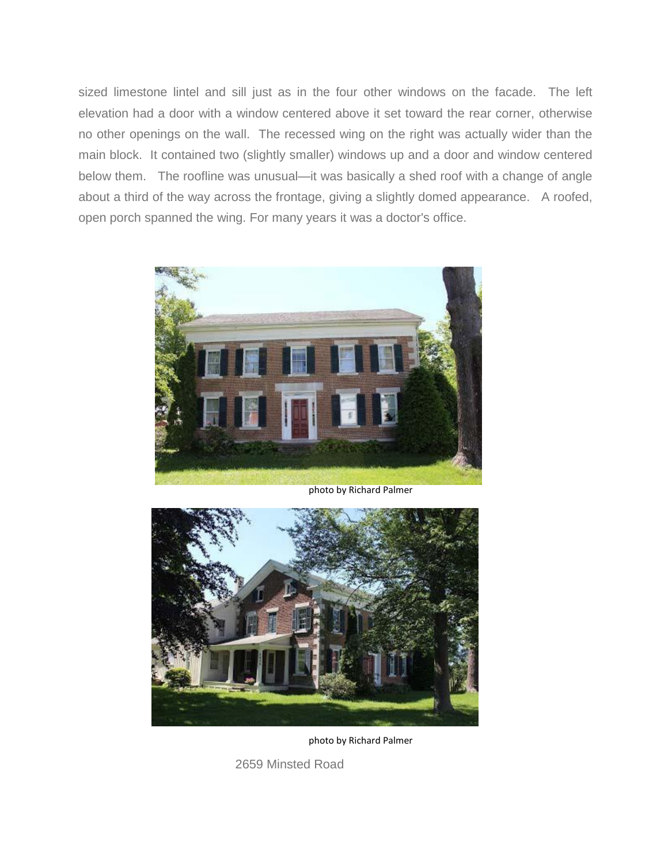sized limestone lintel and sill just as in the four other windows on the facade. The left elevation had a door with a window centered above it set toward the rear corner, otherwise no other openings on the wall. The recessed wing on the right was actually wider than the main block. It contained two (slightly smaller) windows up and a door and window centered below them. The roofline was unusual—it was basically a shed roof with a change of angle about a third of the way across the frontage, giving a slightly domed appearance. A roofed, open porch spanned the wing. For many years it was a doctor's office.



photo by Richard Palmer



photo by Richard Palmer

2659 Minsted Road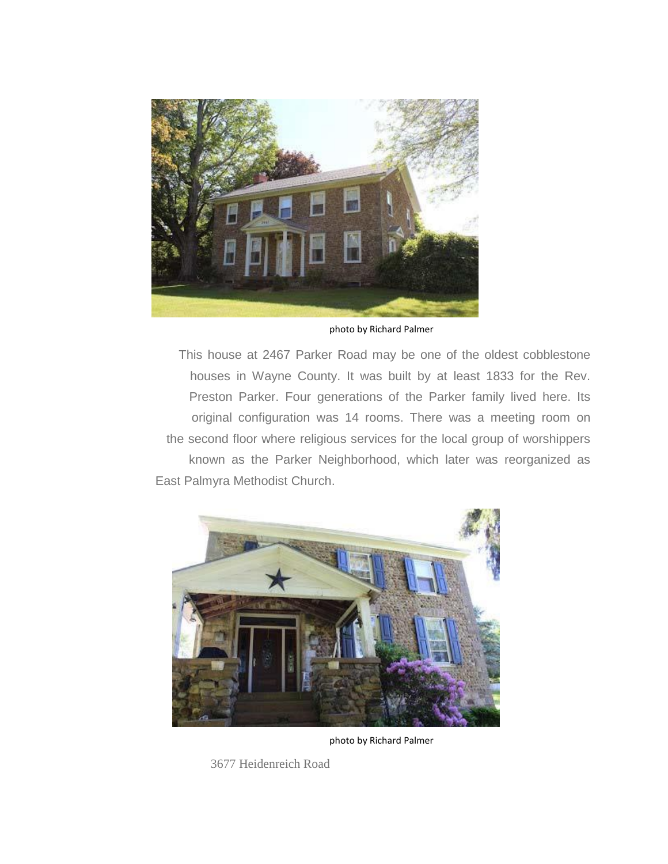

photo by Richard Palmer

This house at 2467 Parker Road may be one of the oldest cobblestone houses in Wayne County. It was built by at least 1833 for the Rev. Preston Parker. Four generations of the Parker family lived here. Its original configuration was 14 rooms. There was a meeting room on the second floor where religious services for the local group of worshippers known as the Parker Neighborhood, which later was reorganized as East Palmyra Methodist Church.



photo by Richard Palmer

3677 Heidenreich Road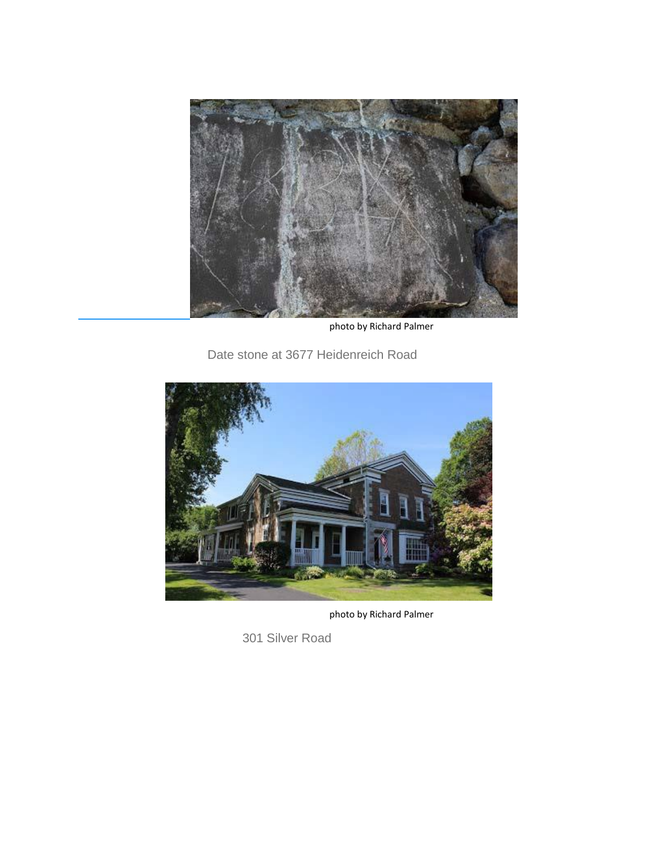

photo by Richard Palmer

Date stone at 3677 Heidenreich Road



photo by Richard Palmer

301 Silver Road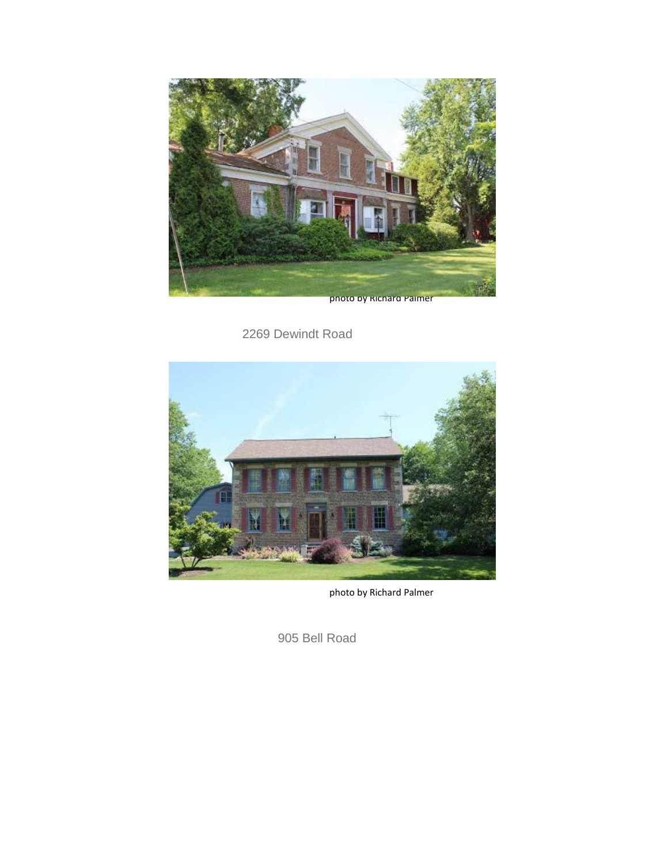

photo by Richard Palmer

2269 Dewindt Road



photo by Richard Palmer

905 Bell Road